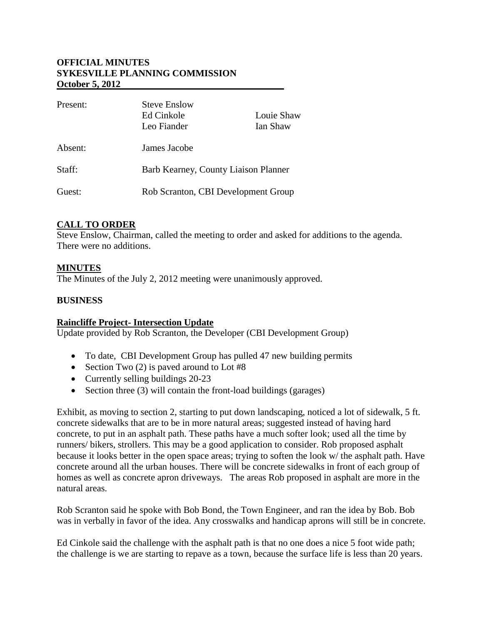# **OFFICIAL MINUTES SYKESVILLE PLANNING COMMISSION October 5, 2012**

| Present: | <b>Steve Enslow</b><br>Ed Cinkole<br>Leo Fiander | Louie Shaw<br>Ian Shaw |
|----------|--------------------------------------------------|------------------------|
| Absent:  | James Jacobe                                     |                        |
| Staff:   | Barb Kearney, County Liaison Planner             |                        |
| Guest:   | Rob Scranton, CBI Development Group              |                        |

# **CALL TO ORDER**

Steve Enslow, Chairman, called the meeting to order and asked for additions to the agenda. There were no additions.

# **MINUTES**

The Minutes of the July 2, 2012 meeting were unanimously approved.

# **BUSINESS**

# **Raincliffe Project- Intersection Update**

Update provided by Rob Scranton, the Developer (CBI Development Group)

- To date, CBI Development Group has pulled 47 new building permits
- Section Two  $(2)$  is paved around to Lot #8
- Currently selling buildings 20-23
- Section three (3) will contain the front-load buildings (garages)

Exhibit, as moving to section 2, starting to put down landscaping, noticed a lot of sidewalk, 5 ft. concrete sidewalks that are to be in more natural areas; suggested instead of having hard concrete, to put in an asphalt path. These paths have a much softer look; used all the time by runners/ bikers, strollers. This may be a good application to consider. Rob proposed asphalt because it looks better in the open space areas; trying to soften the look w/ the asphalt path. Have concrete around all the urban houses. There will be concrete sidewalks in front of each group of homes as well as concrete apron driveways. The areas Rob proposed in asphalt are more in the natural areas.

Rob Scranton said he spoke with Bob Bond, the Town Engineer, and ran the idea by Bob. Bob was in verbally in favor of the idea. Any crosswalks and handicap aprons will still be in concrete.

Ed Cinkole said the challenge with the asphalt path is that no one does a nice 5 foot wide path; the challenge is we are starting to repave as a town, because the surface life is less than 20 years.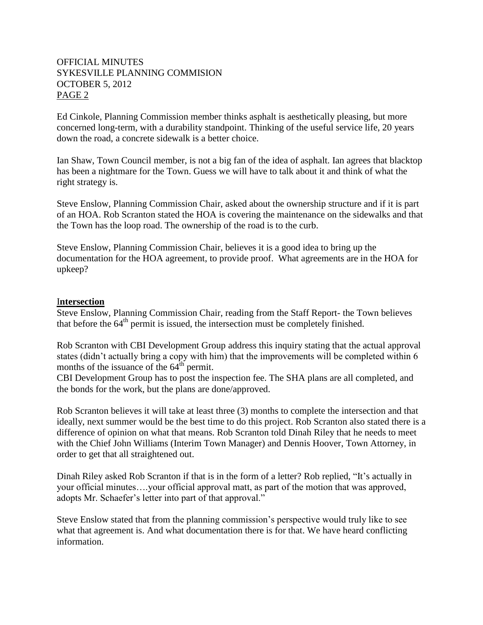# OFFICIAL MINUTES SYKESVILLE PLANNING COMMISION OCTOBER 5, 2012 PAGE 2

Ed Cinkole, Planning Commission member thinks asphalt is aesthetically pleasing, but more concerned long-term, with a durability standpoint. Thinking of the useful service life, 20 years down the road, a concrete sidewalk is a better choice.

Ian Shaw, Town Council member, is not a big fan of the idea of asphalt. Ian agrees that blacktop has been a nightmare for the Town. Guess we will have to talk about it and think of what the right strategy is.

Steve Enslow, Planning Commission Chair, asked about the ownership structure and if it is part of an HOA. Rob Scranton stated the HOA is covering the maintenance on the sidewalks and that the Town has the loop road. The ownership of the road is to the curb.

Steve Enslow, Planning Commission Chair, believes it is a good idea to bring up the documentation for the HOA agreement, to provide proof. What agreements are in the HOA for upkeep?

#### I**ntersection**

Steve Enslow, Planning Commission Chair, reading from the Staff Report- the Town believes that before the  $64<sup>th</sup>$  permit is issued, the intersection must be completely finished.

Rob Scranton with CBI Development Group address this inquiry stating that the actual approval states (didn't actually bring a copy with him) that the improvements will be completed within 6 months of the issuance of the  $64^{\text{th}}$  permit.

CBI Development Group has to post the inspection fee. The SHA plans are all completed, and the bonds for the work, but the plans are done/approved.

Rob Scranton believes it will take at least three (3) months to complete the intersection and that ideally, next summer would be the best time to do this project. Rob Scranton also stated there is a difference of opinion on what that means. Rob Scranton told Dinah Riley that he needs to meet with the Chief John Williams (Interim Town Manager) and Dennis Hoover, Town Attorney, in order to get that all straightened out.

Dinah Riley asked Rob Scranton if that is in the form of a letter? Rob replied, "It's actually in your official minutes….your official approval matt, as part of the motion that was approved, adopts Mr. Schaefer's letter into part of that approval."

Steve Enslow stated that from the planning commission's perspective would truly like to see what that agreement is. And what documentation there is for that. We have heard conflicting information.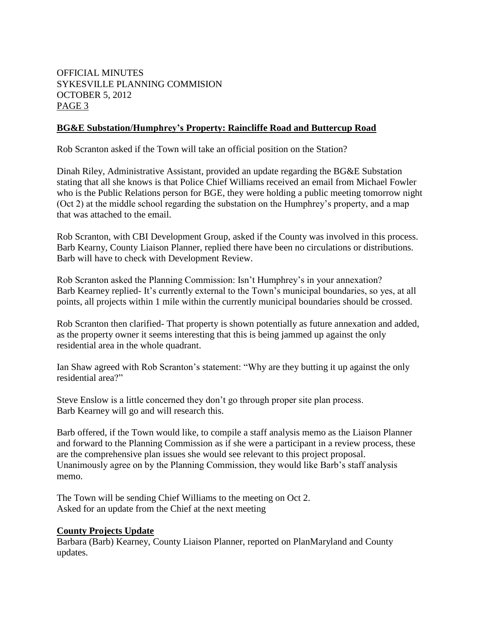# OFFICIAL MINUTES SYKESVILLE PLANNING COMMISION OCTOBER 5, 2012 PAGE 3

### **BG&E Substation/Humphrey's Property: Raincliffe Road and Buttercup Road**

Rob Scranton asked if the Town will take an official position on the Station?

Dinah Riley, Administrative Assistant, provided an update regarding the BG&E Substation stating that all she knows is that Police Chief Williams received an email from Michael Fowler who is the Public Relations person for BGE, they were holding a public meeting tomorrow night (Oct 2) at the middle school regarding the substation on the Humphrey's property, and a map that was attached to the email.

Rob Scranton, with CBI Development Group, asked if the County was involved in this process. Barb Kearny, County Liaison Planner, replied there have been no circulations or distributions. Barb will have to check with Development Review.

Rob Scranton asked the Planning Commission: Isn't Humphrey's in your annexation? Barb Kearney replied- It's currently external to the Town's municipal boundaries, so yes, at all points, all projects within 1 mile within the currently municipal boundaries should be crossed.

Rob Scranton then clarified- That property is shown potentially as future annexation and added, as the property owner it seems interesting that this is being jammed up against the only residential area in the whole quadrant.

Ian Shaw agreed with Rob Scranton's statement: "Why are they butting it up against the only residential area?"

Steve Enslow is a little concerned they don't go through proper site plan process. Barb Kearney will go and will research this.

Barb offered, if the Town would like, to compile a staff analysis memo as the Liaison Planner and forward to the Planning Commission as if she were a participant in a review process, these are the comprehensive plan issues she would see relevant to this project proposal. Unanimously agree on by the Planning Commission, they would like Barb's staff analysis memo.

The Town will be sending Chief Williams to the meeting on Oct 2. Asked for an update from the Chief at the next meeting

#### **County Projects Update**

Barbara (Barb) Kearney, County Liaison Planner, reported on PlanMaryland and County updates.